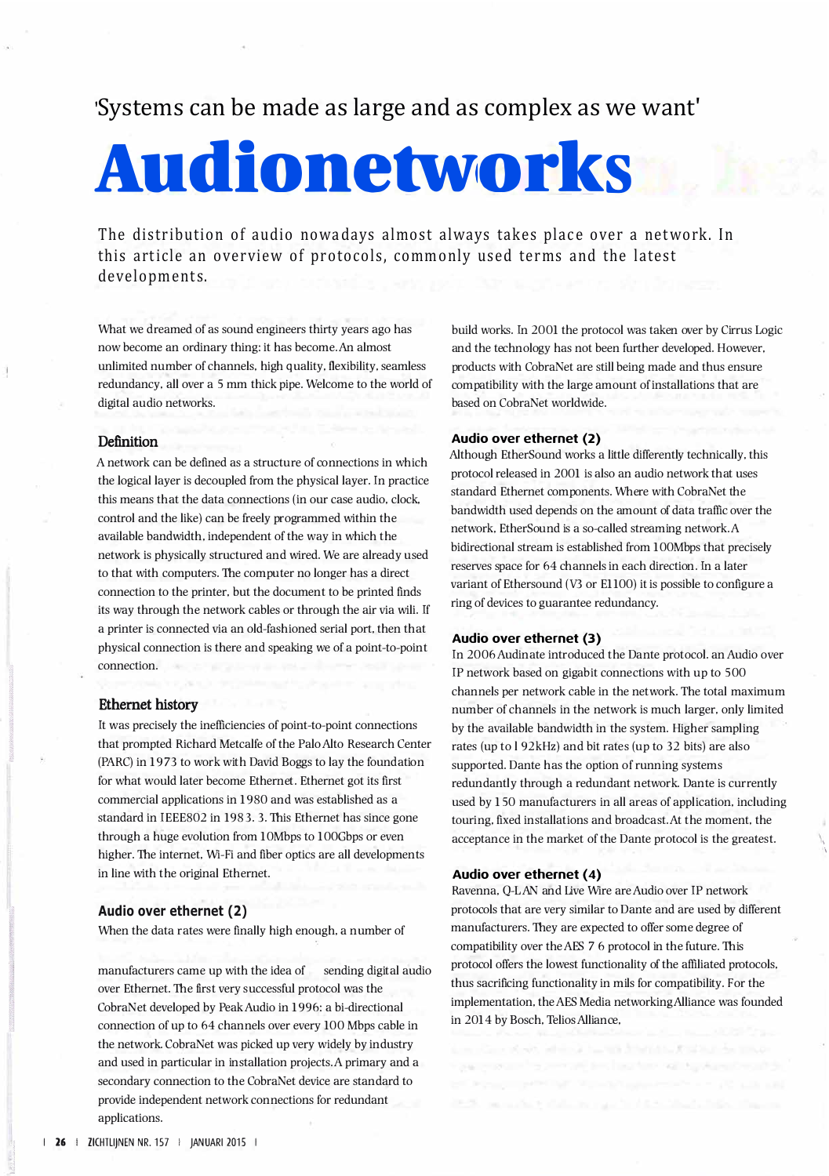# 'Systems can be made as large and as complex as we want'

# **Audionetworks**

The distribution of audio nowadays almost always takes place over a network. In this article an overview of protocols, commonly used terms and the latest developments.

What we dreamed of as sound engineers thirty years ago has now become an ordinary thing: it has become. An almost unlimited number of channels, high quality, flexibility, seamless redundancy, all over a 5 mm thick pipe. Welcome to the world of digital audio networks.

#### **Definition**

A network can be defined as a structure of connections in which the logical layer is decoupled from the physical layer. In practice this means that the data connections (in our case audio, clock, control and the like) can be freely programmed within the available bandwidth, independent of the way in which the network is physically structured and wired. We are already used to that with computers. The computer no longer has a direct connection to the printer, but the document to be printed finds its way through the network cables or through the air via wili. If a printer is connected via an old-fashioned serial port, then that physical connection is there and speaking we of a point-to-point connection.

#### Ethernet history

It was precisely the inefficiencies of point-to-point connections that prompted Richard Metcalfe of the Palo Alto Research Center (PARC) in 1973 to work with David Boggs to lay the foundation for what would later become Ethernet. Ethernet got its first commercial applications in 1980 and was established as a standard in IEEE802 in 1983. 3. This Ethernet has since gone through a huge evolution from 10Mbps to 100Gbps or even higher. The internet, Wi-Fi and fiber optics are all developments in line with the original Ethernet.

#### **Audio over ethernet (2)**

When the data rates were finally high enough, a number of

manufacturers came up with the idea of sending digital audio over Ethernet. The first very successful protocol was the CobraNet developed by Peak Audio in 1996: a bi-directional connection of up to 64 channels over every 100 Mbps cable in the network. CobraNet was picked up very widely by industry and used in particular in installation projects. A primary and a secondary connection to the CobraNet device are standard to provide independent network connections for redundant applications.

build works. In 2001 the protocol was taken over by Cirrus Logic and the technology has not been further developed. However, products with CobraNet are still being made and thus ensure compatibility with the large amount of installations that are based on CobraNet worldwide.

#### **Audio over ethernet (2)**

Although EtherSound works a little differently technically, this protocol released in 2001 is also an audio network that uses standard Ethernet components. Where with CobraNet the bandwidth used depends on the amount of data traffic over the network, EtherSound is a so-called streaming network. A bidirectional stream is established from 100Mbps that precisely reserves space for 64 channels in each direction. In a later variant of Ethersound (V3 or E1100) it is possible to configure a ring of devices to guarantee redundancy.

#### **Audio over ethernet (3)**

In 2006 Audinate introduced the Dante protocol. an Audio over IP network based on gigabit connections with up to 500 channels per network cable in the network. The total maximum number of channels in the network is much larger, only limited by the available bandwidth in the system. Higher sampling rates (up to l 92kHz) and bit rates (up to 32 bits) are also supported. Dante has the option of running systems redundantly through a redundant network. Dante is currently used by 150 manufacturers in all areas of application, including touring, fixed installations and broadcast. At the moment, the acceptance in the market of the Dante protocol is the greatest.

I I

#### **Audio over ethernet ( 4)**

Ravenna, Q-L AN and Live Wire are Audio over IP network protocols that are very similar to Dante and are used by different manufacturers. They are expected to offer some degree of compatibility over the AES 7 6 protocol in the future. This protocol offers the lowest functionality of the affiliated protocols, thus sacrificing functionality in mils for compatibility. For the implementation, the AES Media networking Alliance was founded in 2014 by Bosch, Telios Alliance,

j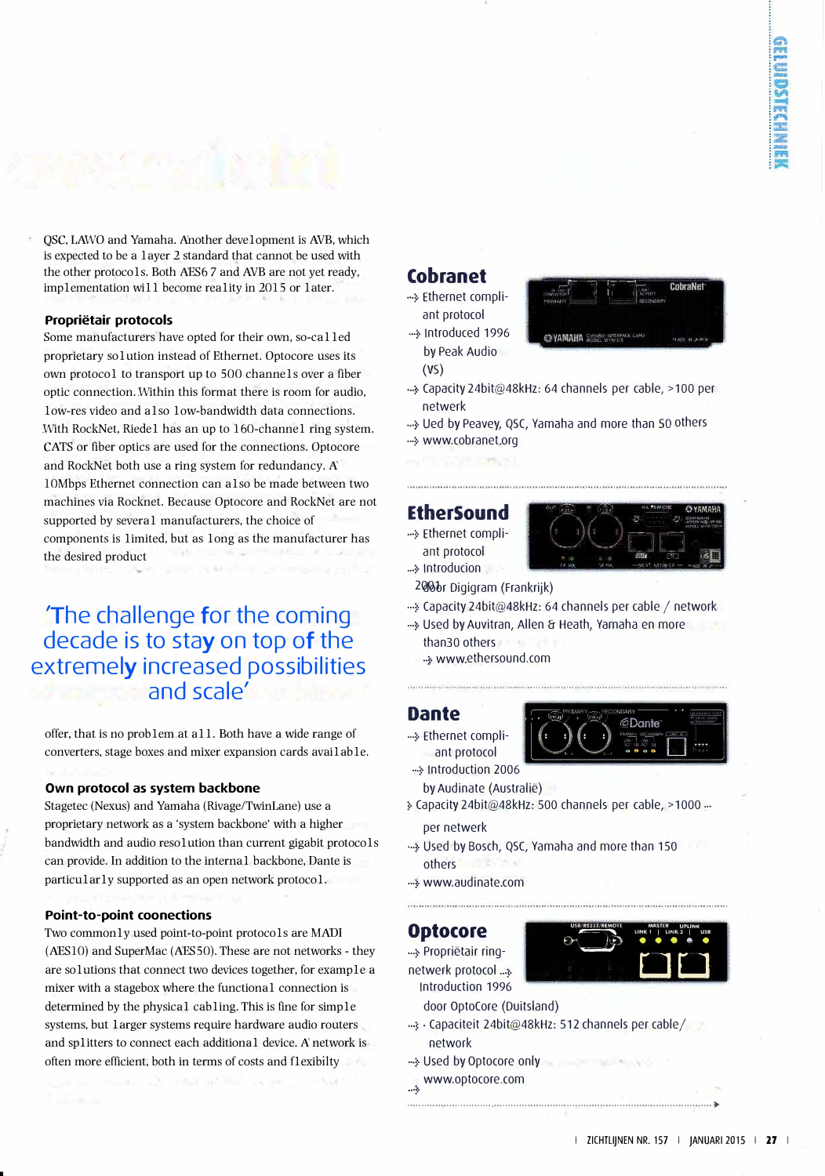QSC, LAWO and Yamaha. Another development is AVB, which is expected to be a layer 2 standard that cannot be used with the other protocols. Both AES6 7 and AVB are not yet ready, implementation will become reality in 2015 or later.

#### **Proprietair protocols**

Some manufacturers have opted for their own, so-called proprietary solution instead of Ethernet. Optocore uses its own protocol to transport up to 500 channels over a fiber optic connection. Within this format there is room for audio, low-res video and also low-bandwidth data connections. With RockNet, Riedel has an up to 160-channel ring system. CATS or fiber optics are used for the connections. Optocore and RockNet both use a ring system for redundancy. A 10Mbps Ethernet connection can also be made between two machines via Rocknet. Because Optocore and RockNet are not supported by several manufacturers, the choice of components is limited, but as long as the manufacturer has the desired product

**'The challenge for the coming decade is to stay on top of the extremely increased possibilities and scale'** 

offer, that is no problem at all. Both have a wide range of converters, stage boxes and mixer expansion cards available.

#### **Own protocol as system backbone**

Stagetec (Nexus) and Yamaha (Rivage/TwinLane) use a proprietary network as a 'system backbone' with a higher bandwidth and audio resolution than current gigabit protocols can provide. In addition to the internal backbone, Dante is particularly supported as an open network protocol.

#### **Point-to-point coonections**

Two commonly used point-to-point protocols are MADI (AES10) and SuperMac (AES50). These are not networks - they are solutions that connect two devices together, for example a mixer with a stagebox where the functional connection is determined by the physical cabling. This is fine for simple systems, but larger systems require hardware audio routers and splitters to connect each additional device. A network is often more efficient, both in terms of costs and flexibilty

## **Cobranet**

*00*•\$· Ethernet compliant protocol •··:=· lntroduced 1996

by Peak Audio

(VS)



- •00::• Capacity 24bit@48kHz: 64 channels per cable, > <sup>1</sup>oo per netwerk
- <sup>00</sup>•:=· Ued by Peavey, QSC, Yamaha and more than SO others *<sup>00</sup>*•\$· www.cobranet.org

### **EtherSound**

00•::• Ethernet compli ant protocol

 $\rightarrow$  Introducion



- 200br Digigram (Frankrijk)
- *•··\$·* Capacity 24bit@48kHz: 64 channels per cable / network
- .... Used by Auvitran, Allen & Heath, Yamaha en more than30 others
	- $\cdot$  www.ethersound.com

## **Dante**

•--\$· Ethernet compliant protocol



- *<sup>00</sup>•\$·* lntroduction 2006 by Audinate (Australie)
- \$• Capacity 24bit@48kHz: 500 channels per cable, > 1000 *•00*

per netwerk

- .... Used by Bosch, QSC, Yamaha and more than 150 others
- ... www.audinate.com

## **Optocore**

•--\$· Proprietair ringnetwerk protocol ...



- lntroduction 1996 door OptoCore (Duitsland)
- <sup>112</sup>: Capaciteit 24bit@48kHz: 512 channels per cable/ network

............................................................................................................. ►

- *<sup>00</sup>•\$·* Used by Optocore only
- www.optocore.com 00•;:•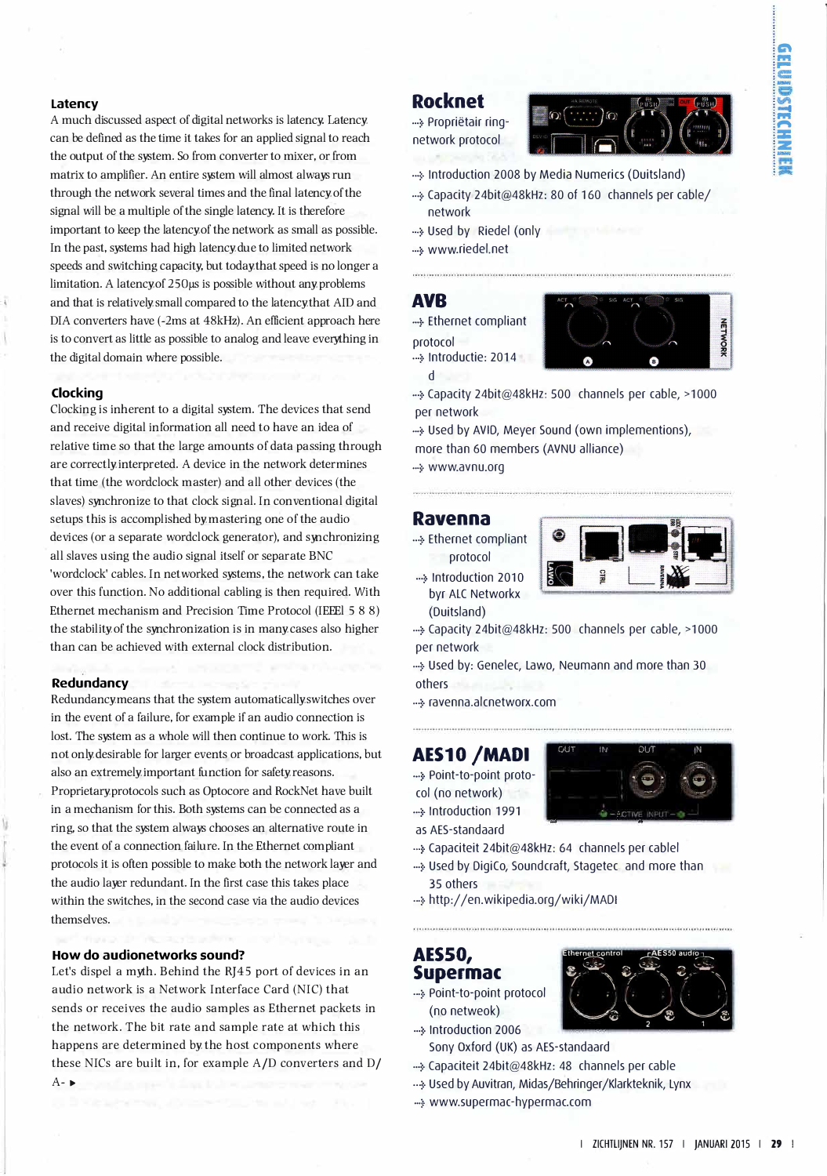#### **Latency**

A much discussed aspect of digital networks is latency. Latency can be defined as the time it takes for an applied signal to reach the output of the system. So from converter to mixer, or from matrix to amplifier. An entire system will almost always run through the network several times and the final latency of the signal will be a multiple of the single latency. It is therefore important to keep the latency of the network as small as possible. In the past, systems had high latency due to limited network speeds and switching capacity, but today that speed is no longer a limitation. A latency of 250µs is possible without any problems and that is relatively small compared to the latency that AID and DIA converters have (-2ms at 48kHz). An efficient approach here is to convert as little as possible to analog and leave everything in the digital domain where possible.

#### **Clocking**

Clocking is inherent to a digital system. The devices that send and receive digital information all need to have an idea of relative time so that the large amounts of data passing through are correctly interpreted. A device in the network determines that time (the wordclock master) and all other devices (the slaves) synchronize to that clock signal. In conventional digital setups this is accomplished by mastering one of the audio devices (or a separate wordclock generator), and synchronizing all slaves using the audio signal itself or separate BNC 'wordclock' cables. In networked systems, the network can take over this function. No additional cabling is then required. With Ethernet mechanism and Precision Time Protocol (IEEEl 5 8 8) the stability of the synchronization is in many cases also higher than can be achieved with external clock distribution.

#### **Redundancy**

Redundancy means that the system automatically switches over in the event of a failure, for example if an audio connection is lost. The system as a whole will then continue to work. This is not only desirable for larger events or broadcast applications, but also an extremely important function for safety reasons. Proprietary protocols such as Optocore and RockNet have built in a mechanism for this. Both systems can be connected as a ring, so that the system always chooses an alternative route in the event of a connection failure. In the Ethernet compliant protocols it is often possible to make both the network layer and the audio layer redundant. In the first case this takes place within the switches, in the second case via the audio devices themselves.

#### **How do audionetworks sound?**

Let's dispel a myth. Behind the RJ45 port of devices in an audio network is a Network Interface Card (NIC) that sends or receives the audio samples as Ethernet packets in happens are determined by the host components where these NICs are built in, for example A/D converters and D/  $A - \blacktriangleright$ the network. The bit rate and sample rate at which this ...5. lntroduction 2006

## **Rocknet**

•··5· Proprietair ringnetwork protocol



- ··· > Introduction 2008 by Media Numerics (Duitsland)
- .. 5. Capacity 24bit@48kHz: 80 of 160 channels per cable/ network
- •··5· Used by Riedel (only
- •··:=· www. riedel.net

## **AVB**

d

•·==· Ethernet compliant protocol ... Introductie: 2014



• .. 5. Capacity 24bit@48kHz: 500 channels per cable, >1000 per network

•• Used by AVID, Meyer Sound (own implementions), more than 60 members (AVNU alliance)

•·•::• www.avnu.org

#### **Ravenna**

... Ethernet compliant protocol ... Introduction 2010

> byr ALC Networkx (Duitsland)



•··:=· Capacity 24bit@48kHz: 500 channels per cable, > 1 ooo per network

•··:=· Used by: Genelec, Lawo, Neumann and more than 30 others

•.. 5. ravenna.alcnetworx.com

## **AES10 /MADI**

•·•::• Point-to-point protocol (no network) • Introduction 1991



Ethernet control **CAES50** audio

*... � -�-*  $e^x$   $e^x$   $e^x$ 

> $\circ \bigtriangledown_{\mathfrak{s}} \bigtriangledown_{\mathfrak{s}}$ 2 1

*.a,� r. .*

- as AES-standaard
- •·•::• Capaciteit 24bit@48kHz: 64 channels per cablel
- ... y Used by DigiCo, Soundcraft, Stagetec and more than 35 others
- ... http://en.wikipedia.org/wiki/MADI

## **AESSO, Supermac**

- ... 5. Point-to-point protocol (no netweok)
- 
- Sony Oxford (UK) as AES-standaard ... Scapaciteit 24bit@48kHz: 48 channels per cable
- 
- ...<sub>\*</sub> Used by Auvitran, Midas/Behringer/Klarkteknik, Lynx
- •• www.supermac-hypermac.com